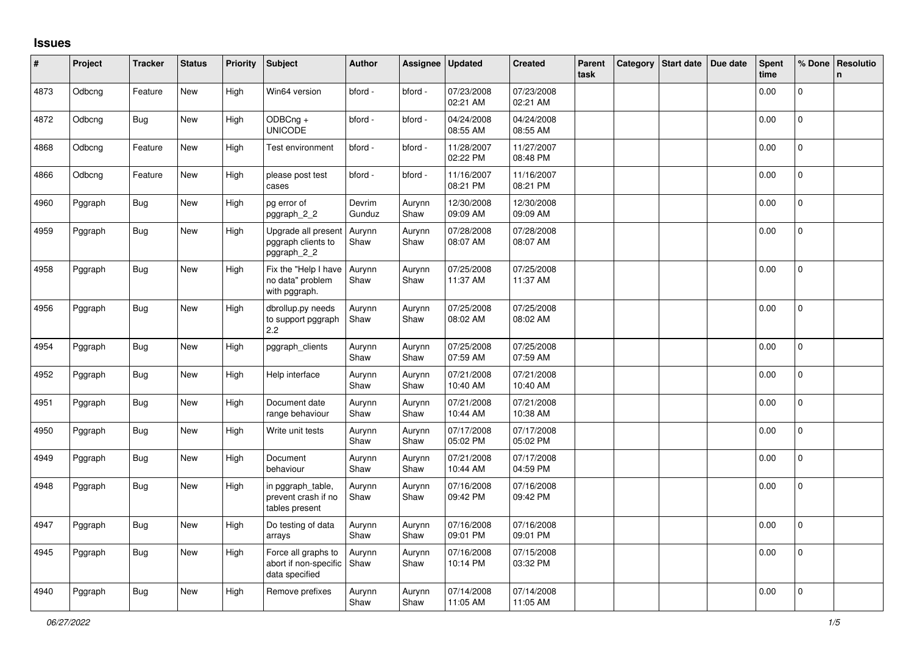## **Issues**

| #    | Project | <b>Tracker</b> | <b>Status</b> | Priority | Subject                                                        | <b>Author</b>    | Assignee       | <b>Updated</b>         | <b>Created</b>         | Parent<br>task | Category Start date | Due date | <b>Spent</b><br>time | % Done         | Resolutio<br>n. |
|------|---------|----------------|---------------|----------|----------------------------------------------------------------|------------------|----------------|------------------------|------------------------|----------------|---------------------|----------|----------------------|----------------|-----------------|
| 4873 | Odbcng  | Feature        | New           | High     | Win64 version                                                  | bford -          | bford -        | 07/23/2008<br>02:21 AM | 07/23/2008<br>02:21 AM |                |                     |          | 0.00                 | $\mathbf 0$    |                 |
| 4872 | Odbcng  | Bug            | New           | High     | ODBCng +<br><b>UNICODE</b>                                     | bford -          | bford -        | 04/24/2008<br>08:55 AM | 04/24/2008<br>08:55 AM |                |                     |          | 0.00                 | $\mathbf 0$    |                 |
| 4868 | Odbcng  | Feature        | New           | High     | Test environment                                               | bford -          | bford -        | 11/28/2007<br>02:22 PM | 11/27/2007<br>08:48 PM |                |                     |          | 0.00                 | $\pmb{0}$      |                 |
| 4866 | Odbcng  | Feature        | New           | High     | please post test<br>cases                                      | bford -          | bford -        | 11/16/2007<br>08:21 PM | 11/16/2007<br>08:21 PM |                |                     |          | 0.00                 | $\mathbf{0}$   |                 |
| 4960 | Pggraph | <b>Bug</b>     | <b>New</b>    | High     | pg error of<br>pggraph_2_2                                     | Devrim<br>Gunduz | Aurynn<br>Shaw | 12/30/2008<br>09:09 AM | 12/30/2008<br>09:09 AM |                |                     |          | 0.00                 | $\Omega$       |                 |
| 4959 | Pggraph | Bug            | New           | High     | Upgrade all present<br>pggraph clients to<br>pggraph_2_2       | Aurynn<br>Shaw   | Aurynn<br>Shaw | 07/28/2008<br>08:07 AM | 07/28/2008<br>08:07 AM |                |                     |          | 0.00                 | $\pmb{0}$      |                 |
| 4958 | Pggraph | <b>Bug</b>     | New           | High     | Fix the "Help I have<br>no data" problem<br>with pggraph.      | Aurynn<br>Shaw   | Aurynn<br>Shaw | 07/25/2008<br>11:37 AM | 07/25/2008<br>11:37 AM |                |                     |          | 0.00                 | $\Omega$       |                 |
| 4956 | Pggraph | Bug            | <b>New</b>    | High     | dbrollup.py needs<br>to support pggraph<br>$2.2\,$             | Aurynn<br>Shaw   | Aurynn<br>Shaw | 07/25/2008<br>08:02 AM | 07/25/2008<br>08:02 AM |                |                     |          | 0.00                 | $\Omega$       |                 |
| 4954 | Pggraph | Bug            | New           | High     | pggraph_clients                                                | Aurynn<br>Shaw   | Aurynn<br>Shaw | 07/25/2008<br>07:59 AM | 07/25/2008<br>07:59 AM |                |                     |          | 0.00                 | $\mathbf 0$    |                 |
| 4952 | Pggraph | Bug            | <b>New</b>    | High     | Help interface                                                 | Aurynn<br>Shaw   | Aurynn<br>Shaw | 07/21/2008<br>10:40 AM | 07/21/2008<br>10:40 AM |                |                     |          | 0.00                 | 0              |                 |
| 4951 | Pggraph | <b>Bug</b>     | New           | High     | Document date<br>range behaviour                               | Aurynn<br>Shaw   | Aurynn<br>Shaw | 07/21/2008<br>10:44 AM | 07/21/2008<br>10:38 AM |                |                     |          | 0.00                 | $\mathbf 0$    |                 |
| 4950 | Pggraph | Bug            | New           | High     | Write unit tests                                               | Aurynn<br>Shaw   | Aurynn<br>Shaw | 07/17/2008<br>05:02 PM | 07/17/2008<br>05:02 PM |                |                     |          | 0.00                 | $\mathbf{0}$   |                 |
| 4949 | Pggraph | <b>Bug</b>     | New           | High     | Document<br>behaviour                                          | Aurynn<br>Shaw   | Aurynn<br>Shaw | 07/21/2008<br>10:44 AM | 07/17/2008<br>04:59 PM |                |                     |          | 0.00                 | $\mathbf 0$    |                 |
| 4948 | Pggraph | Bug            | New           | High     | in pggraph_table,<br>prevent crash if no<br>tables present     | Aurynn<br>Shaw   | Aurynn<br>Shaw | 07/16/2008<br>09:42 PM | 07/16/2008<br>09:42 PM |                |                     |          | 0.00                 | 0              |                 |
| 4947 | Pggraph | <b>Bug</b>     | New           | High     | Do testing of data<br>arrays                                   | Aurynn<br>Shaw   | Aurynn<br>Shaw | 07/16/2008<br>09:01 PM | 07/16/2008<br>09:01 PM |                |                     |          | 0.00                 | $\Omega$       |                 |
| 4945 | Pggraph | Bug            | New           | High     | Force all graphs to<br>abort if non-specific<br>data specified | Aurynn<br>Shaw   | Aurynn<br>Shaw | 07/16/2008<br>10:14 PM | 07/15/2008<br>03:32 PM |                |                     |          | 0.00                 | $\overline{0}$ |                 |
| 4940 | Pggraph | Bug            | New           | High     | Remove prefixes                                                | Aurynn<br>Shaw   | Aurynn<br>Shaw | 07/14/2008<br>11:05 AM | 07/14/2008<br>11:05 AM |                |                     |          | 0.00                 | 0              |                 |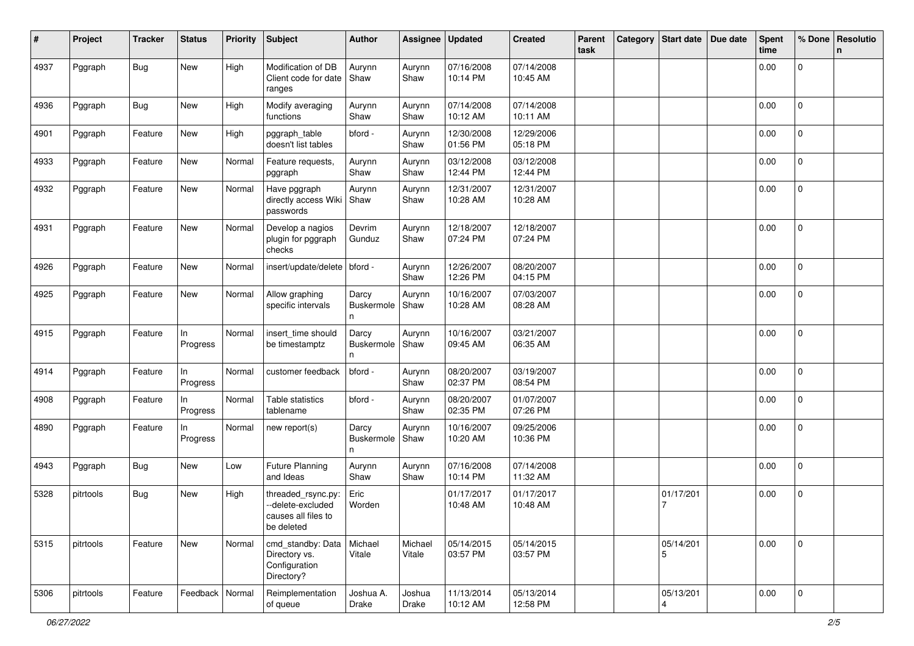| #    | Project   | Tracker    | <b>Status</b>     | <b>Priority</b> | <b>Subject</b>                                                               | <b>Author</b>            | Assignee          | <b>Updated</b>         | <b>Created</b>         | Parent<br>task | Category | Start date   Due date | <b>Spent</b><br>time | % Done              | <b>Resolutio</b><br>n |
|------|-----------|------------|-------------------|-----------------|------------------------------------------------------------------------------|--------------------------|-------------------|------------------------|------------------------|----------------|----------|-----------------------|----------------------|---------------------|-----------------------|
| 4937 | Pggraph   | <b>Bug</b> | New               | High            | Modification of DB<br>Client code for date<br>ranges                         | Aurynn<br>Shaw           | Aurynn<br>Shaw    | 07/16/2008<br>10:14 PM | 07/14/2008<br>10:45 AM |                |          |                       | 0.00                 | 0                   |                       |
| 4936 | Pggraph   | <b>Bug</b> | New               | High            | Modify averaging<br>functions                                                | Aurynn<br>Shaw           | Aurynn<br>Shaw    | 07/14/2008<br>10:12 AM | 07/14/2008<br>10:11 AM |                |          |                       | 0.00                 | $\mathbf{0}$        |                       |
| 4901 | Pggraph   | Feature    | New               | High            | pggraph_table<br>doesn't list tables                                         | bford -                  | Aurynn<br>Shaw    | 12/30/2008<br>01:56 PM | 12/29/2006<br>05:18 PM |                |          |                       | 0.00                 | $\mathbf 0$         |                       |
| 4933 | Pggraph   | Feature    | New               | Normal          | Feature requests,<br>pggraph                                                 | Aurynn<br>Shaw           | Aurynn<br>Shaw    | 03/12/2008<br>12:44 PM | 03/12/2008<br>12:44 PM |                |          |                       | 0.00                 | 0                   |                       |
| 4932 | Pggraph   | Feature    | New               | Normal          | Have pggraph<br>directly access Wiki<br>passwords                            | Aurynn<br>Shaw           | Aurynn<br>Shaw    | 12/31/2007<br>10:28 AM | 12/31/2007<br>10:28 AM |                |          |                       | 0.00                 | 0                   |                       |
| 4931 | Pggraph   | Feature    | New               | Normal          | Develop a nagios<br>plugin for pggraph<br>checks                             | Devrim<br>Gunduz         | Aurynn<br>Shaw    | 12/18/2007<br>07:24 PM | 12/18/2007<br>07:24 PM |                |          |                       | 0.00                 | 0                   |                       |
| 4926 | Pggraph   | Feature    | New               | Normal          | insert/update/delete   bford -                                               |                          | Aurynn<br>Shaw    | 12/26/2007<br>12:26 PM | 08/20/2007<br>04:15 PM |                |          |                       | 0.00                 | 0                   |                       |
| 4925 | Pggraph   | Feature    | New               | Normal          | Allow graphing<br>specific intervals                                         | Darcy<br>Buskermole<br>n | Aurynn<br>Shaw    | 10/16/2007<br>10:28 AM | 07/03/2007<br>08:28 AM |                |          |                       | 0.00                 | 0                   |                       |
| 4915 | Pggraph   | Feature    | In<br>Progress    | Normal          | insert_time should<br>be timestamptz                                         | Darcy<br>Buskermole<br>n | Aurynn<br>Shaw    | 10/16/2007<br>09:45 AM | 03/21/2007<br>06:35 AM |                |          |                       | 0.00                 | $\mathbf 0$         |                       |
| 4914 | Pggraph   | Feature    | In<br>Progress    | Normal          | customer feedback                                                            | bford -                  | Aurynn<br>Shaw    | 08/20/2007<br>02:37 PM | 03/19/2007<br>08:54 PM |                |          |                       | 0.00                 | 0                   |                       |
| 4908 | Pggraph   | Feature    | In<br>Progress    | Normal          | Table statistics<br>tablename                                                | bford -                  | Aurynn<br>Shaw    | 08/20/2007<br>02:35 PM | 01/07/2007<br>07:26 PM |                |          |                       | 0.00                 | $\mathbf 0$         |                       |
| 4890 | Pggraph   | Feature    | In<br>Progress    | Normal          | new report(s)                                                                | Darcy<br>Buskermole<br>n | Aurynn<br>Shaw    | 10/16/2007<br>10:20 AM | 09/25/2006<br>10:36 PM |                |          |                       | 0.00                 | 0                   |                       |
| 4943 | Pggraph   | <b>Bug</b> | New               | Low             | <b>Future Planning</b><br>and Ideas                                          | Aurynn<br>Shaw           | Aurynn<br>Shaw    | 07/16/2008<br>10:14 PM | 07/14/2008<br>11:32 AM |                |          |                       | 0.00                 | 0                   |                       |
| 5328 | pitrtools | Bug        | New               | High            | threaded_rsync.py:<br>--delete-excluded<br>causes all files to<br>be deleted | Eric<br>Worden           |                   | 01/17/2017<br>10:48 AM | 01/17/2017<br>10:48 AM |                |          | 01/17/201             | 0.00                 | 0                   |                       |
| 5315 | pitrtools | Feature    | New               | Normal          | cmd_standby: Data<br>Directory vs.<br>Configuration<br>Directory?            | Michael<br>Vitale        | Michael<br>Vitale | 05/14/2015<br>03:57 PM | 05/14/2015<br>03:57 PM |                |          | 05/14/201<br>5        | 0.00                 | $\mathbf 0$         |                       |
| 5306 | pitrtools | Feature    | Feedback   Normal |                 | Reimplementation<br>of queue                                                 | Joshua A.<br>Drake       | Joshua<br>Drake   | 11/13/2014<br>10:12 AM | 05/13/2014<br>12:58 PM |                |          | 05/13/201<br>4        | 0.00                 | $\mathsf{O}\xspace$ |                       |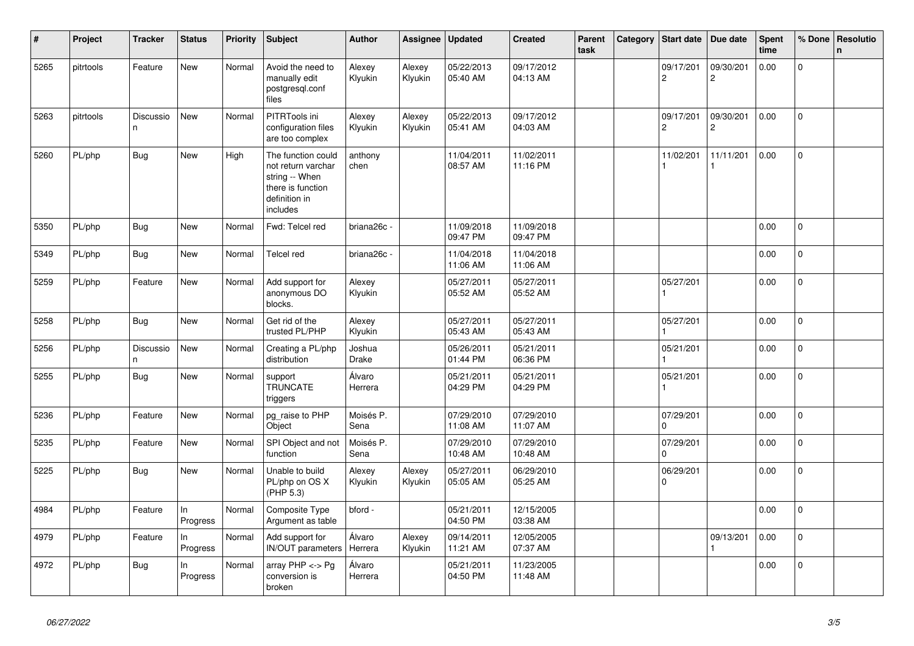| $\vert$ # | Project   | <b>Tracker</b>  | <b>Status</b>  | <b>Priority</b> | Subject                                                                                                      | <b>Author</b>           | Assignee          | <b>Updated</b>         | <b>Created</b>         | Parent<br>task | Category | Start date                  | Due date                    | <b>Spent</b><br>time | % Done       | Resolutio<br>$\mathbf n$ |
|-----------|-----------|-----------------|----------------|-----------------|--------------------------------------------------------------------------------------------------------------|-------------------------|-------------------|------------------------|------------------------|----------------|----------|-----------------------------|-----------------------------|----------------------|--------------|--------------------------|
| 5265      | pitrtools | Feature         | New            | Normal          | Avoid the need to<br>manually edit<br>postgresql.conf<br>files                                               | Alexey<br>Klyukin       | Alexey<br>Klyukin | 05/22/2013<br>05:40 AM | 09/17/2012<br>04:13 AM |                |          | 09/17/201<br>$\overline{2}$ | 09/30/201<br>$\overline{c}$ | 0.00                 | $\Omega$     |                          |
| 5263      | pitrtools | Discussio<br>n. | <b>New</b>     | Normal          | PITRTools ini<br>configuration files<br>are too complex                                                      | Alexey<br>Klyukin       | Alexey<br>Klyukin | 05/22/2013<br>05:41 AM | 09/17/2012<br>04:03 AM |                |          | 09/17/201<br>$\overline{c}$ | 09/30/201<br>2              | 0.00                 | $\Omega$     |                          |
| 5260      | PL/php    | Bug             | New            | High            | The function could<br>not return varchar<br>string -- When<br>there is function<br>definition in<br>includes | anthony<br>chen         |                   | 11/04/2011<br>08:57 AM | 11/02/2011<br>11:16 PM |                |          | 11/02/201<br>1              | 11/11/201<br>1              | 0.00                 | $\Omega$     |                          |
| 5350      | PL/php    | Bug             | <b>New</b>     | Normal          | Fwd: Telcel red                                                                                              | briana <sub>26c</sub> - |                   | 11/09/2018<br>09:47 PM | 11/09/2018<br>09:47 PM |                |          |                             |                             | 0.00                 | 0            |                          |
| 5349      | PL/php    | Bug             | New            | Normal          | Telcel red                                                                                                   | briana26c -             |                   | 11/04/2018<br>11:06 AM | 11/04/2018<br>11:06 AM |                |          |                             |                             | 0.00                 | $\mathbf 0$  |                          |
| 5259      | PL/php    | Feature         | New            | Normal          | Add support for<br>anonymous DO<br>blocks.                                                                   | Alexey<br>Klyukin       |                   | 05/27/2011<br>05:52 AM | 05/27/2011<br>05:52 AM |                |          | 05/27/201                   |                             | 0.00                 | $\mathbf 0$  |                          |
| 5258      | PL/php    | <b>Bug</b>      | New            | Normal          | Get rid of the<br>trusted PL/PHP                                                                             | Alexey<br>Klyukin       |                   | 05/27/2011<br>05:43 AM | 05/27/2011<br>05:43 AM |                |          | 05/27/201                   |                             | 0.00                 | $\mathbf 0$  |                          |
| 5256      | PL/php    | Discussio<br>n  | New            | Normal          | Creating a PL/php<br>distribution                                                                            | Joshua<br>Drake         |                   | 05/26/2011<br>01:44 PM | 05/21/2011<br>06:36 PM |                |          | 05/21/201                   |                             | 0.00                 | 0            |                          |
| 5255      | PL/php    | <b>Bug</b>      | New            | Normal          | support<br><b>TRUNCATE</b><br>triggers                                                                       | Álvaro<br>Herrera       |                   | 05/21/2011<br>04:29 PM | 05/21/2011<br>04:29 PM |                |          | 05/21/201                   |                             | 0.00                 | 0            |                          |
| 5236      | PL/php    | Feature         | New            | Normal          | pg_raise to PHP<br>Obiect                                                                                    | Moisés P.<br>Sena       |                   | 07/29/2010<br>11:08 AM | 07/29/2010<br>11:07 AM |                |          | 07/29/201<br>$\Omega$       |                             | 0.00                 | $\mathsf{O}$ |                          |
| 5235      | PL/php    | Feature         | New            | Normal          | SPI Object and not<br>function                                                                               | Moisés P.<br>Sena       |                   | 07/29/2010<br>10:48 AM | 07/29/2010<br>10:48 AM |                |          | 07/29/201<br>$\Omega$       |                             | 0.00                 | $\mathbf 0$  |                          |
| 5225      | PL/php    | Bug             | New            | Normal          | Unable to build<br>PL/php on OS X<br>(PHP 5.3)                                                               | Alexey<br>Klyukin       | Alexey<br>Klyukin | 05/27/2011<br>05:05 AM | 06/29/2010<br>05:25 AM |                |          | 06/29/201<br>$\mathbf 0$    |                             | 0.00                 | 0            |                          |
| 4984      | PL/php    | Feature         | In<br>Progress | Normal          | Composite Type<br>Argument as table                                                                          | bford -                 |                   | 05/21/2011<br>04:50 PM | 12/15/2005<br>03:38 AM |                |          |                             |                             | 0.00                 | $\mathbf 0$  |                          |
| 4979      | PL/php    | Feature         | In<br>Progress | Normal          | Add support for<br>IN/OUT parameters                                                                         | Álvaro<br>Herrera       | Alexey<br>Klyukin | 09/14/2011<br>11:21 AM | 12/05/2005<br>07:37 AM |                |          |                             | 09/13/201                   | 0.00                 | 0            |                          |
| 4972      | PL/php    | Bug             | In<br>Progress | Normal          | array PHP <-> Pg<br>conversion is<br>broken                                                                  | Álvaro<br>Herrera       |                   | 05/21/2011<br>04:50 PM | 11/23/2005<br>11:48 AM |                |          |                             |                             | 0.00                 | 0            |                          |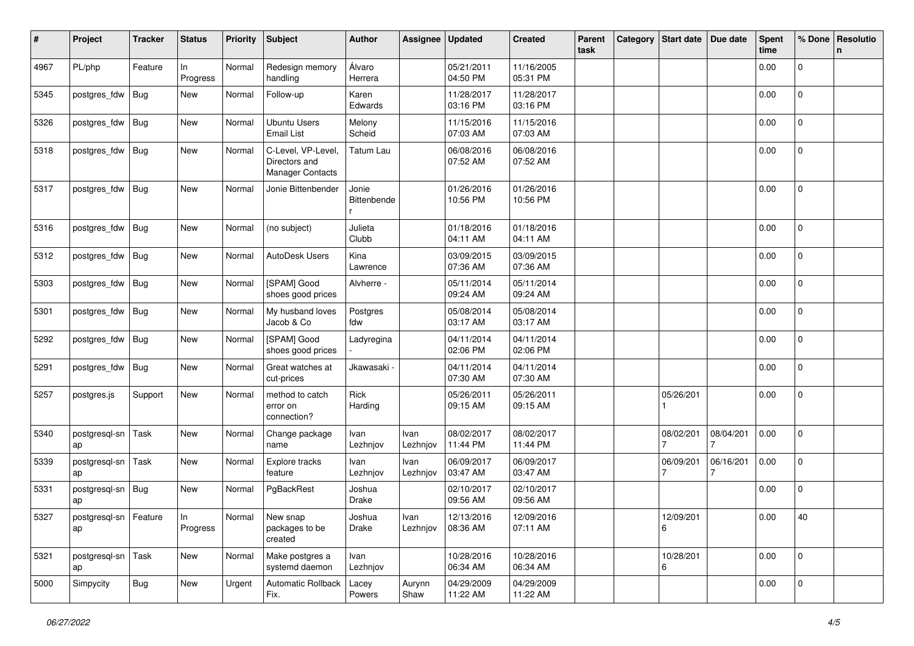| #    | Project                       | <b>Tracker</b> | <b>Status</b>  | <b>Priority</b> | <b>Subject</b>                                          | <b>Author</b>        | <b>Assignee</b>  | <b>Updated</b>         | <b>Created</b>         | Parent<br>task | Category | <b>Start date</b> | Due date  | <b>Spent</b><br>time | % Done         | Resolutio<br>n |
|------|-------------------------------|----------------|----------------|-----------------|---------------------------------------------------------|----------------------|------------------|------------------------|------------------------|----------------|----------|-------------------|-----------|----------------------|----------------|----------------|
| 4967 | PL/php                        | Feature        | In<br>Progress | Normal          | Redesign memory<br>handling                             | Álvaro<br>Herrera    |                  | 05/21/2011<br>04:50 PM | 11/16/2005<br>05:31 PM |                |          |                   |           | 0.00                 | 0              |                |
| 5345 | postgres_fdw                  | <b>Bug</b>     | New            | Normal          | Follow-up                                               | Karen<br>Edwards     |                  | 11/28/2017<br>03:16 PM | 11/28/2017<br>03:16 PM |                |          |                   |           | 0.00                 | 0              |                |
| 5326 | postgres_fdw                  | <b>Bug</b>     | New            | Normal          | <b>Ubuntu Users</b><br><b>Email List</b>                | Melony<br>Scheid     |                  | 11/15/2016<br>07:03 AM | 11/15/2016<br>07:03 AM |                |          |                   |           | 0.00                 | 0              |                |
| 5318 | postgres_fdw                  | <b>Bug</b>     | New            | Normal          | C-Level, VP-Level,<br>Directors and<br>Manager Contacts | Tatum Lau            |                  | 06/08/2016<br>07:52 AM | 06/08/2016<br>07:52 AM |                |          |                   |           | 0.00                 | 0              |                |
| 5317 | postgres_fdw                  | <b>Bug</b>     | New            | Normal          | Jonie Bittenbender                                      | Jonie<br>Bittenbende |                  | 01/26/2016<br>10:56 PM | 01/26/2016<br>10:56 PM |                |          |                   |           | 0.00                 | 0              |                |
| 5316 | postgres_fdw                  | <b>Bug</b>     | New            | Normal          | (no subject)                                            | Julieta<br>Clubb     |                  | 01/18/2016<br>04:11 AM | 01/18/2016<br>04:11 AM |                |          |                   |           | 0.00                 | 0              |                |
| 5312 | postgres_fdw                  | Bug            | New            | Normal          | AutoDesk Users                                          | Kina<br>Lawrence     |                  | 03/09/2015<br>07:36 AM | 03/09/2015<br>07:36 AM |                |          |                   |           | 0.00                 | 0              |                |
| 5303 | postgres_fdw                  | <b>Bug</b>     | New            | Normal          | [SPAM] Good<br>shoes good prices                        | Alvherre -           |                  | 05/11/2014<br>09:24 AM | 05/11/2014<br>09:24 AM |                |          |                   |           | 0.00                 | $\mathbf{0}$   |                |
| 5301 | postgres_fdw                  | <b>Bug</b>     | New            | Normal          | My husband loves<br>Jacob & Co                          | Postgres<br>fdw      |                  | 05/08/2014<br>03:17 AM | 05/08/2014<br>03:17 AM |                |          |                   |           | 0.00                 | $\overline{0}$ |                |
| 5292 | postgres_fdw                  | <b>Bug</b>     | New            | Normal          | [SPAM] Good<br>shoes good prices                        | Ladyregina           |                  | 04/11/2014<br>02:06 PM | 04/11/2014<br>02:06 PM |                |          |                   |           | 0.00                 | $\overline{0}$ |                |
| 5291 | postgres_fdw                  | <b>Bug</b>     | New            | Normal          | Great watches at<br>cut-prices                          | Jkawasaki -          |                  | 04/11/2014<br>07:30 AM | 04/11/2014<br>07:30 AM |                |          |                   |           | 0.00                 | 0              |                |
| 5257 | postgres.js                   | Support        | New            | Normal          | method to catch<br>error on<br>connection?              | Rick<br>Harding      |                  | 05/26/2011<br>09:15 AM | 05/26/2011<br>09:15 AM |                |          | 05/26/201         |           | 0.00                 | 0              |                |
| 5340 | postgresql-sn<br>ap           | Task           | New            | Normal          | Change package<br>name                                  | Ivan<br>Lezhnjov     | Ivan<br>Lezhnjov | 08/02/2017<br>11:44 PM | 08/02/2017<br>11:44 PM |                |          | 08/02/201         | 08/04/201 | 0.00                 | 0              |                |
| 5339 | postgresql-sn<br>ap           | Task           | New            | Normal          | Explore tracks<br>feature                               | Ivan<br>Lezhnjov     | Ivan<br>Lezhnjov | 06/09/2017<br>03:47 AM | 06/09/2017<br>03:47 AM |                |          | 06/09/201         | 06/16/201 | 0.00                 | 0              |                |
| 5331 | postgresql-sn<br>ap           | Bug            | New            | Normal          | PgBackRest                                              | Joshua<br>Drake      |                  | 02/10/2017<br>09:56 AM | 02/10/2017<br>09:56 AM |                |          |                   |           | 0.00                 | 0              |                |
| 5327 | postgresql-sn   Feature<br>ap |                | In<br>Progress |                 | Normal New snap<br>packages to be<br>created            | Joshua<br>Drake      | Ivan<br>Lezhnjov | 12/13/2016<br>08:36 AM | 12/09/2016<br>07:11 AM |                |          | 12/09/201<br>6    |           | 0.00                 | 40             |                |
| 5321 | postgresql-sn   Task<br>ap    |                | New            | Normal          | Make postgres a<br>systemd daemon                       | Ivan<br>Lezhnjov     |                  | 10/28/2016<br>06:34 AM | 10/28/2016<br>06:34 AM |                |          | 10/28/201<br>6    |           | 0.00                 | $\mathbf{0}$   |                |
| 5000 | Simpycity                     | <b>Bug</b>     | New            | Urgent          | Automatic Rollback<br>Fix.                              | Lacey<br>Powers      | Aurynn<br>Shaw   | 04/29/2009<br>11:22 AM | 04/29/2009<br>11:22 AM |                |          |                   |           | 0.00                 | $\Omega$       |                |